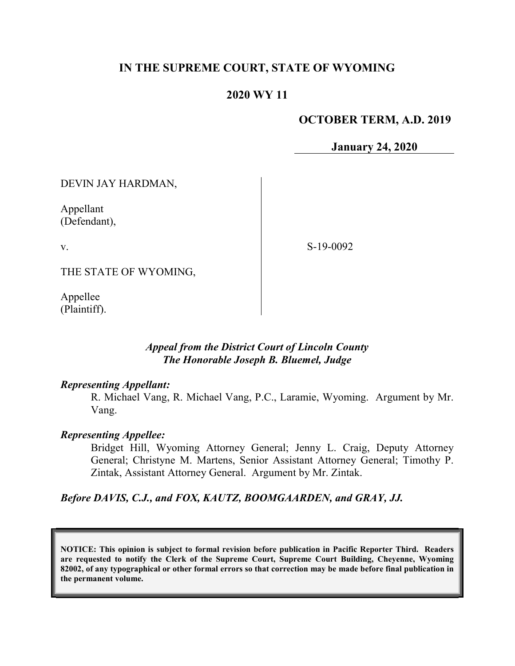## IN THE SUPREME COURT, STATE OF WYOMING

## 2020 WY 11

### OCTOBER TERM, A.D. 2019

January 24, 2020

DEVIN JAY HARDMAN,

Appellant (Defendant),

v.

S-19-0092

THE STATE OF WYOMING,

Appellee (Plaintiff).

### Appeal from the District Court of Lincoln County The Honorable Joseph B. Bluemel, Judge

#### Representing Appellant:

R. Michael Vang, R. Michael Vang, P.C., Laramie, Wyoming. Argument by Mr. Vang.

#### Representing Appellee:

Bridget Hill, Wyoming Attorney General; Jenny L. Craig, Deputy Attorney General; Christyne M. Martens, Senior Assistant Attorney General; Timothy P. Zintak, Assistant Attorney General. Argument by Mr. Zintak.

Before DAVIS, C.J., and FOX, KAUTZ, BOOMGAARDEN, and GRAY, JJ.

NOTICE: This opinion is subject to formal revision before publication in Pacific Reporter Third. Readers are requested to notify the Clerk of the Supreme Court, Supreme Court Building, Cheyenne, Wyoming 82002, of any typographical or other formal errors so that correction may be made before final publication in the permanent volume.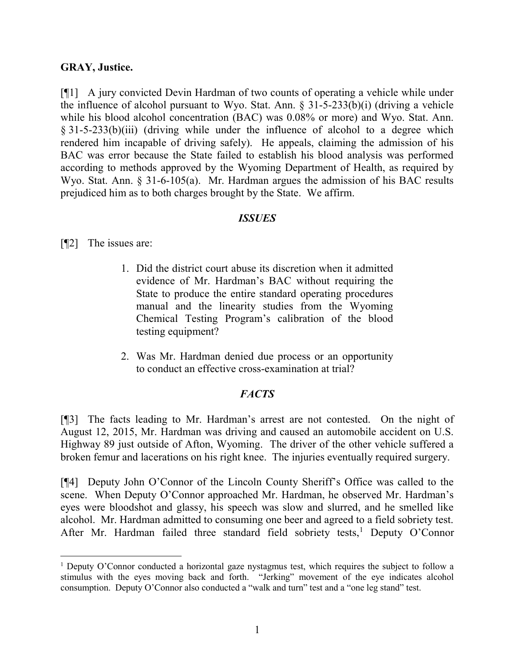#### GRAY, Justice.

[¶1] A jury convicted Devin Hardman of two counts of operating a vehicle while under the influence of alcohol pursuant to Wyo. Stat. Ann. § 31-5-233(b)(i) (driving a vehicle while his blood alcohol concentration (BAC) was 0.08% or more) and Wyo. Stat. Ann. § 31-5-233(b)(iii) (driving while under the influence of alcohol to a degree which rendered him incapable of driving safely). He appeals, claiming the admission of his BAC was error because the State failed to establish his blood analysis was performed according to methods approved by the Wyoming Department of Health, as required by Wyo. Stat. Ann. § 31-6-105(a). Mr. Hardman argues the admission of his BAC results prejudiced him as to both charges brought by the State. We affirm.

### ISSUES

[¶2] The issues are:

 $\overline{a}$ 

- 1. Did the district court abuse its discretion when it admitted evidence of Mr. Hardman's BAC without requiring the State to produce the entire standard operating procedures manual and the linearity studies from the Wyoming Chemical Testing Program's calibration of the blood testing equipment?
- 2. Was Mr. Hardman denied due process or an opportunity to conduct an effective cross-examination at trial?

### **FACTS**

[¶3] The facts leading to Mr. Hardman's arrest are not contested. On the night of August 12, 2015, Mr. Hardman was driving and caused an automobile accident on U.S. Highway 89 just outside of Afton, Wyoming. The driver of the other vehicle suffered a broken femur and lacerations on his right knee. The injuries eventually required surgery.

[¶4] Deputy John O'Connor of the Lincoln County Sheriff's Office was called to the scene. When Deputy O'Connor approached Mr. Hardman, he observed Mr. Hardman's eyes were bloodshot and glassy, his speech was slow and slurred, and he smelled like alcohol. Mr. Hardman admitted to consuming one beer and agreed to a field sobriety test. After Mr. Hardman failed three standard field sobriety tests,<sup>1</sup> Deputy O'Connor

<sup>&</sup>lt;sup>1</sup> Deputy O'Connor conducted a horizontal gaze nystagmus test, which requires the subject to follow a stimulus with the eyes moving back and forth. "Jerking" movement of the eye indicates alcohol consumption. Deputy O'Connor also conducted a "walk and turn" test and a "one leg stand" test.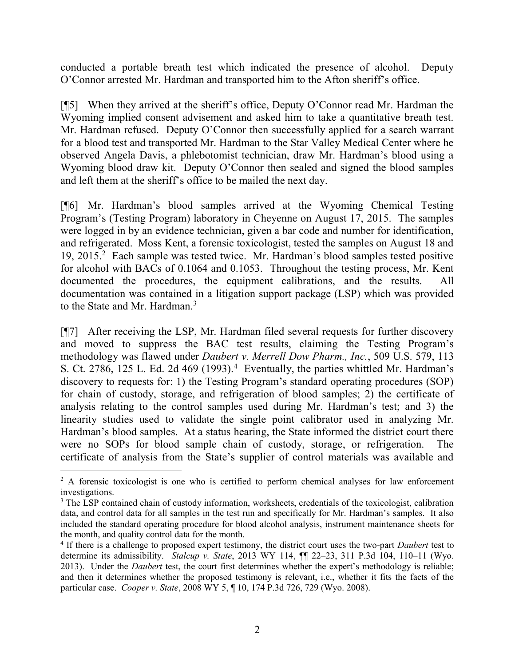conducted a portable breath test which indicated the presence of alcohol. Deputy O'Connor arrested Mr. Hardman and transported him to the Afton sheriff's office.

[¶5] When they arrived at the sheriff's office, Deputy O'Connor read Mr. Hardman the Wyoming implied consent advisement and asked him to take a quantitative breath test. Mr. Hardman refused. Deputy O'Connor then successfully applied for a search warrant for a blood test and transported Mr. Hardman to the Star Valley Medical Center where he observed Angela Davis, a phlebotomist technician, draw Mr. Hardman's blood using a Wyoming blood draw kit. Deputy O'Connor then sealed and signed the blood samples and left them at the sheriff's office to be mailed the next day.

[¶6] Mr. Hardman's blood samples arrived at the Wyoming Chemical Testing Program's (Testing Program) laboratory in Cheyenne on August 17, 2015. The samples were logged in by an evidence technician, given a bar code and number for identification, and refrigerated. Moss Kent, a forensic toxicologist, tested the samples on August 18 and 19, 2015.<sup>2</sup> Each sample was tested twice. Mr. Hardman's blood samples tested positive for alcohol with BACs of 0.1064 and 0.1053. Throughout the testing process, Mr. Kent documented the procedures, the equipment calibrations, and the results. All documentation was contained in a litigation support package (LSP) which was provided to the State and Mr. Hardman.<sup>3</sup>

[¶7] After receiving the LSP, Mr. Hardman filed several requests for further discovery and moved to suppress the BAC test results, claiming the Testing Program's methodology was flawed under Daubert v. Merrell Dow Pharm., Inc., 509 U.S. 579, 113 S. Ct. 2786, 125 L. Ed. 2d 469  $(1993)$ .<sup>4</sup> Eventually, the parties whittled Mr. Hardman's discovery to requests for: 1) the Testing Program's standard operating procedures (SOP) for chain of custody, storage, and refrigeration of blood samples; 2) the certificate of analysis relating to the control samples used during Mr. Hardman's test; and 3) the linearity studies used to validate the single point calibrator used in analyzing Mr. Hardman's blood samples. At a status hearing, the State informed the district court there were no SOPs for blood sample chain of custody, storage, or refrigeration. The certificate of analysis from the State's supplier of control materials was available and

<sup>&</sup>lt;sup>2</sup> A forensic toxicologist is one who is certified to perform chemical analyses for law enforcement investigations.

<sup>&</sup>lt;sup>3</sup> The LSP contained chain of custody information, worksheets, credentials of the toxicologist, calibration data, and control data for all samples in the test run and specifically for Mr. Hardman's samples. It also included the standard operating procedure for blood alcohol analysis, instrument maintenance sheets for the month, and quality control data for the month.

<sup>&</sup>lt;sup>4</sup> If there is a challenge to proposed expert testimony, the district court uses the two-part *Daubert* test to determine its admissibility. Stalcup v. State, 2013 WY 114,  $\P$  $[22-23, 311$  P.3d 104, 110–11 (Wyo. 2013). Under the Daubert test, the court first determines whether the expert's methodology is reliable; and then it determines whether the proposed testimony is relevant, i.e., whether it fits the facts of the particular case. Cooper v. State, 2008 WY 5, ¶ 10, 174 P.3d 726, 729 (Wyo. 2008).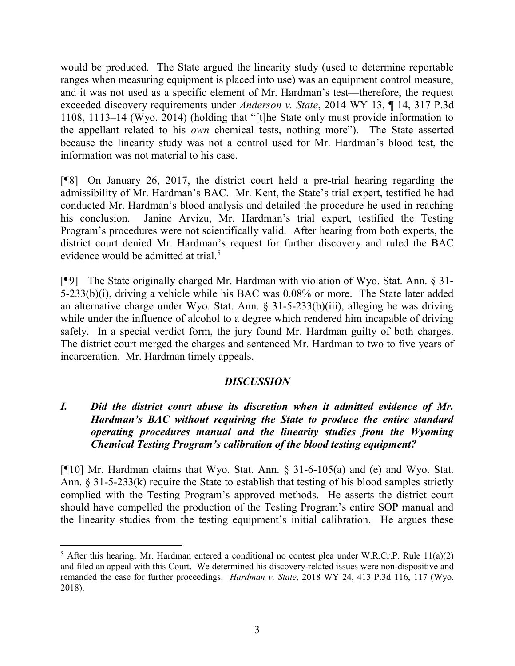would be produced. The State argued the linearity study (used to determine reportable ranges when measuring equipment is placed into use) was an equipment control measure, and it was not used as a specific element of Mr. Hardman's test—therefore, the request exceeded discovery requirements under Anderson v. State, 2014 WY 13, ¶ 14, 317 P.3d 1108, 1113–14 (Wyo. 2014) (holding that "[t]he State only must provide information to the appellant related to his own chemical tests, nothing more"). The State asserted because the linearity study was not a control used for Mr. Hardman's blood test, the information was not material to his case.

[¶8] On January 26, 2017, the district court held a pre-trial hearing regarding the admissibility of Mr. Hardman's BAC. Mr. Kent, the State's trial expert, testified he had conducted Mr. Hardman's blood analysis and detailed the procedure he used in reaching his conclusion. Janine Arvizu, Mr. Hardman's trial expert, testified the Testing Program's procedures were not scientifically valid. After hearing from both experts, the district court denied Mr. Hardman's request for further discovery and ruled the BAC evidence would be admitted at trial.<sup>5</sup>

[¶9] The State originally charged Mr. Hardman with violation of Wyo. Stat. Ann. § 31- 5-233(b)(i), driving a vehicle while his BAC was 0.08% or more. The State later added an alternative charge under Wyo. Stat. Ann. § 31-5-233(b)(iii), alleging he was driving while under the influence of alcohol to a degree which rendered him incapable of driving safely. In a special verdict form, the jury found Mr. Hardman guilty of both charges. The district court merged the charges and sentenced Mr. Hardman to two to five years of incarceration. Mr. Hardman timely appeals.

### DISCUSSION

## I. Did the district court abuse its discretion when it admitted evidence of Mr. Hardman's BAC without requiring the State to produce the entire standard operating procedures manual and the linearity studies from the Wyoming Chemical Testing Program's calibration of the blood testing equipment?

[¶10] Mr. Hardman claims that Wyo. Stat. Ann. § 31-6-105(a) and (e) and Wyo. Stat. Ann. § 31-5-233(k) require the State to establish that testing of his blood samples strictly complied with the Testing Program's approved methods. He asserts the district court should have compelled the production of the Testing Program's entire SOP manual and the linearity studies from the testing equipment's initial calibration. He argues these

 $\overline{a}$ <sup>5</sup> After this hearing, Mr. Hardman entered a conditional no contest plea under W.R.Cr.P. Rule  $11(a)(2)$ and filed an appeal with this Court. We determined his discovery-related issues were non-dispositive and remanded the case for further proceedings. Hardman v. State, 2018 WY 24, 413 P.3d 116, 117 (Wyo. 2018).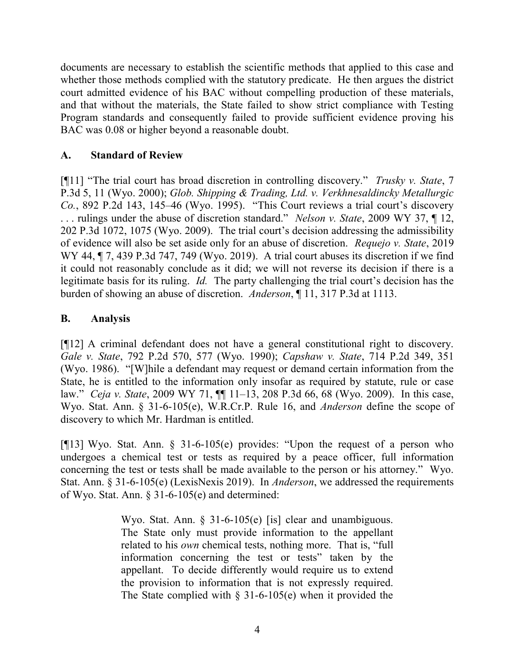documents are necessary to establish the scientific methods that applied to this case and whether those methods complied with the statutory predicate. He then argues the district court admitted evidence of his BAC without compelling production of these materials, and that without the materials, the State failed to show strict compliance with Testing Program standards and consequently failed to provide sufficient evidence proving his BAC was 0.08 or higher beyond a reasonable doubt.

### A. Standard of Review

[ $[$ [11] "The trial court has broad discretion in controlling discovery." Trusky v. State, 7 P.3d 5, 11 (Wyo. 2000); Glob. Shipping & Trading, Ltd. v. Verkhnesaldincky Metallurgic Co., 892 P.2d 143, 145–46 (Wyo. 1995). "This Court reviews a trial court's discovery . . . rulings under the abuse of discretion standard." Nelson v. State, 2009 WY 37, ¶ 12, 202 P.3d 1072, 1075 (Wyo. 2009). The trial court's decision addressing the admissibility of evidence will also be set aside only for an abuse of discretion. Requejo v. State, 2019 WY 44, ¶ 7, 439 P.3d 747, 749 (Wyo. 2019). A trial court abuses its discretion if we find it could not reasonably conclude as it did; we will not reverse its decision if there is a legitimate basis for its ruling. Id. The party challenging the trial court's decision has the burden of showing an abuse of discretion. Anderson, ¶ 11, 317 P.3d at 1113.

### B. Analysis

[¶12] A criminal defendant does not have a general constitutional right to discovery. Gale v. State, 792 P.2d 570, 577 (Wyo. 1990); Capshaw v. State, 714 P.2d 349, 351 (Wyo. 1986). "[W]hile a defendant may request or demand certain information from the State, he is entitled to the information only insofar as required by statute, rule or case law." Ceja v. State, 2009 WY 71, ¶¶ 11–13, 208 P.3d 66, 68 (Wyo. 2009). In this case, Wyo. Stat. Ann. § 31-6-105(e), W.R.Cr.P. Rule 16, and *Anderson* define the scope of discovery to which Mr. Hardman is entitled.

[¶13] Wyo. Stat. Ann. § 31-6-105(e) provides: "Upon the request of a person who undergoes a chemical test or tests as required by a peace officer, full information concerning the test or tests shall be made available to the person or his attorney." Wyo. Stat. Ann. § 31-6-105(e) (LexisNexis 2019). In Anderson, we addressed the requirements of Wyo. Stat. Ann. § 31-6-105(e) and determined:

> Wyo. Stat. Ann. § 31-6-105(e) [is] clear and unambiguous. The State only must provide information to the appellant related to his own chemical tests, nothing more. That is, "full information concerning the test or tests" taken by the appellant. To decide differently would require us to extend the provision to information that is not expressly required. The State complied with  $\S$  31-6-105(e) when it provided the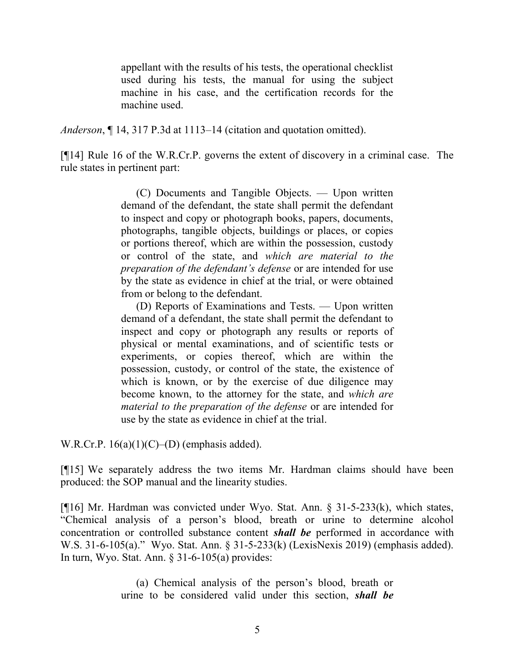appellant with the results of his tests, the operational checklist used during his tests, the manual for using the subject machine in his case, and the certification records for the machine used.

Anderson, ¶ 14, 317 P.3d at 1113–14 (citation and quotation omitted).

[¶14] Rule 16 of the W.R.Cr.P. governs the extent of discovery in a criminal case. The rule states in pertinent part:

> (C) Documents and Tangible Objects. — Upon written demand of the defendant, the state shall permit the defendant to inspect and copy or photograph books, papers, documents, photographs, tangible objects, buildings or places, or copies or portions thereof, which are within the possession, custody or control of the state, and which are material to the preparation of the defendant's defense or are intended for use by the state as evidence in chief at the trial, or were obtained from or belong to the defendant.

> (D) Reports of Examinations and Tests. — Upon written demand of a defendant, the state shall permit the defendant to inspect and copy or photograph any results or reports of physical or mental examinations, and of scientific tests or experiments, or copies thereof, which are within the possession, custody, or control of the state, the existence of which is known, or by the exercise of due diligence may become known, to the attorney for the state, and which are material to the preparation of the defense or are intended for use by the state as evidence in chief at the trial.

W.R.Cr.P.  $16(a)(1)(C)$ – $(D)$  (emphasis added).

[¶15] We separately address the two items Mr. Hardman claims should have been produced: the SOP manual and the linearity studies.

[¶16] Mr. Hardman was convicted under Wyo. Stat. Ann. § 31-5-233(k), which states, "Chemical analysis of a person's blood, breath or urine to determine alcohol concentration or controlled substance content shall be performed in accordance with W.S. 31-6-105(a)." Wyo. Stat. Ann. § 31-5-233(k) (LexisNexis 2019) (emphasis added). In turn, Wyo. Stat. Ann.  $\S$  31-6-105(a) provides:

> (a) Chemical analysis of the person's blood, breath or urine to be considered valid under this section, *shall be*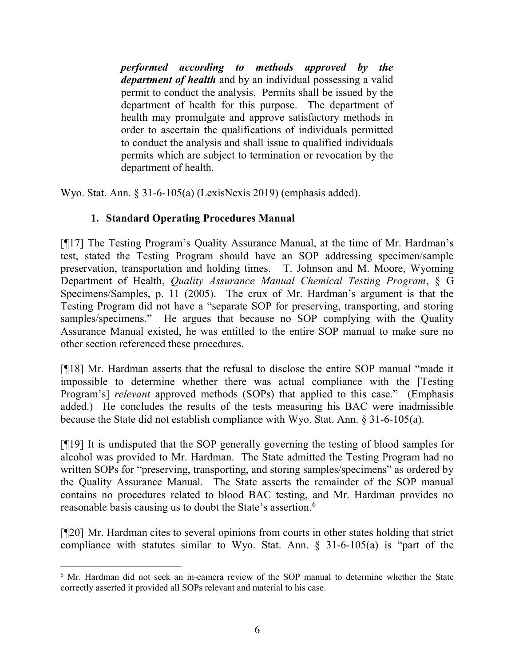performed according to methods approved by the department of health and by an individual possessing a valid permit to conduct the analysis. Permits shall be issued by the department of health for this purpose. The department of health may promulgate and approve satisfactory methods in order to ascertain the qualifications of individuals permitted to conduct the analysis and shall issue to qualified individuals permits which are subject to termination or revocation by the department of health.

Wyo. Stat. Ann. § 31-6-105(a) (LexisNexis 2019) (emphasis added).

# 1. Standard Operating Procedures Manual

[¶17] The Testing Program's Quality Assurance Manual, at the time of Mr. Hardman's test, stated the Testing Program should have an SOP addressing specimen/sample preservation, transportation and holding times. T. Johnson and M. Moore, Wyoming Department of Health, Quality Assurance Manual Chemical Testing Program, § G Specimens/Samples, p. 11 (2005). The crux of Mr. Hardman's argument is that the Testing Program did not have a "separate SOP for preserving, transporting, and storing samples/specimens." He argues that because no SOP complying with the Quality Assurance Manual existed, he was entitled to the entire SOP manual to make sure no other section referenced these procedures.

[¶18] Mr. Hardman asserts that the refusal to disclose the entire SOP manual "made it impossible to determine whether there was actual compliance with the [Testing Program's] *relevant* approved methods (SOPs) that applied to this case." (Emphasis added.) He concludes the results of the tests measuring his BAC were inadmissible because the State did not establish compliance with Wyo. Stat. Ann. § 31-6-105(a).

[¶19] It is undisputed that the SOP generally governing the testing of blood samples for alcohol was provided to Mr. Hardman. The State admitted the Testing Program had no written SOPs for "preserving, transporting, and storing samples/specimens" as ordered by the Quality Assurance Manual. The State asserts the remainder of the SOP manual contains no procedures related to blood BAC testing, and Mr. Hardman provides no reasonable basis causing us to doubt the State's assertion.<sup>6</sup>

[¶20] Mr. Hardman cites to several opinions from courts in other states holding that strict compliance with statutes similar to Wyo. Stat. Ann.  $\S$  31-6-105(a) is "part of the

 $\overline{a}$ <sup>6</sup> Mr. Hardman did not seek an in-camera review of the SOP manual to determine whether the State correctly asserted it provided all SOPs relevant and material to his case.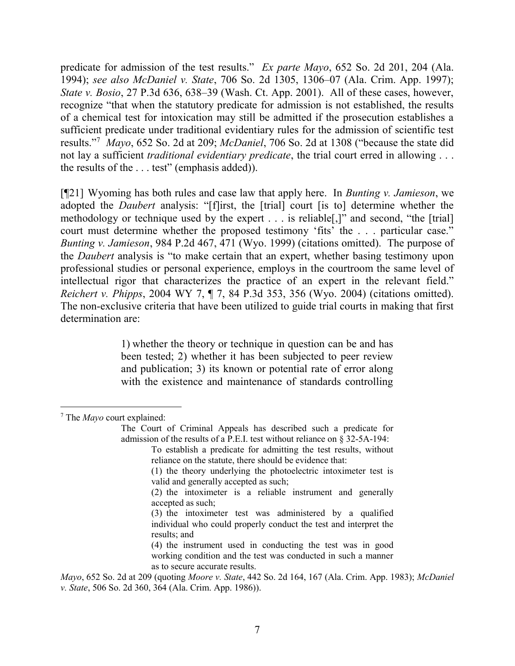predicate for admission of the test results." Ex parte Mayo, 652 So. 2d 201, 204 (Ala. 1994); see also McDaniel v. State, 706 So. 2d 1305, 1306–07 (Ala. Crim. App. 1997); State v. Bosio, 27 P.3d 636, 638–39 (Wash. Ct. App. 2001). All of these cases, however, recognize "that when the statutory predicate for admission is not established, the results of a chemical test for intoxication may still be admitted if the prosecution establishes a sufficient predicate under traditional evidentiary rules for the admission of scientific test results."<sup>7</sup> Mayo, 652 So. 2d at 209; McDaniel, 706 So. 2d at 1308 ("because the state did not lay a sufficient *traditional evidentiary predicate*, the trial court erred in allowing ... the results of the . . . test" (emphasis added)).

 $[\P21]$  Wyoming has both rules and case law that apply here. In *Bunting v. Jamieson*, we adopted the Daubert analysis: "[f]irst, the [trial] court [is to] determine whether the methodology or technique used by the expert . . . is reliable[,]" and second, "the [trial] court must determine whether the proposed testimony 'fits' the . . . particular case." Bunting v. Jamieson, 984 P.2d 467, 471 (Wyo. 1999) (citations omitted). The purpose of the Daubert analysis is "to make certain that an expert, whether basing testimony upon professional studies or personal experience, employs in the courtroom the same level of intellectual rigor that characterizes the practice of an expert in the relevant field." Reichert v. Phipps, 2004 WY 7, ¶ 7, 84 P.3d 353, 356 (Wyo. 2004) (citations omitted). The non-exclusive criteria that have been utilized to guide trial courts in making that first determination are:

> 1) whether the theory or technique in question can be and has been tested; 2) whether it has been subjected to peer review and publication; 3) its known or potential rate of error along with the existence and maintenance of standards controlling

 $7$  The *Mayo* court explained:

The Court of Criminal Appeals has described such a predicate for admission of the results of a P.E.I. test without reliance on § 32-5A-194:

To establish a predicate for admitting the test results, without reliance on the statute, there should be evidence that:

<sup>(1)</sup> the theory underlying the photoelectric intoximeter test is valid and generally accepted as such;

<sup>(2)</sup> the intoximeter is a reliable instrument and generally accepted as such;

<sup>(3)</sup> the intoximeter test was administered by a qualified individual who could properly conduct the test and interpret the results; and

<sup>(4)</sup> the instrument used in conducting the test was in good working condition and the test was conducted in such a manner as to secure accurate results.

Mayo, 652 So. 2d at 209 (quoting *Moore v. State,* 442 So. 2d 164, 167 (Ala. Crim. App. 1983); *McDaniel* v. State, 506 So. 2d 360, 364 (Ala. Crim. App. 1986)).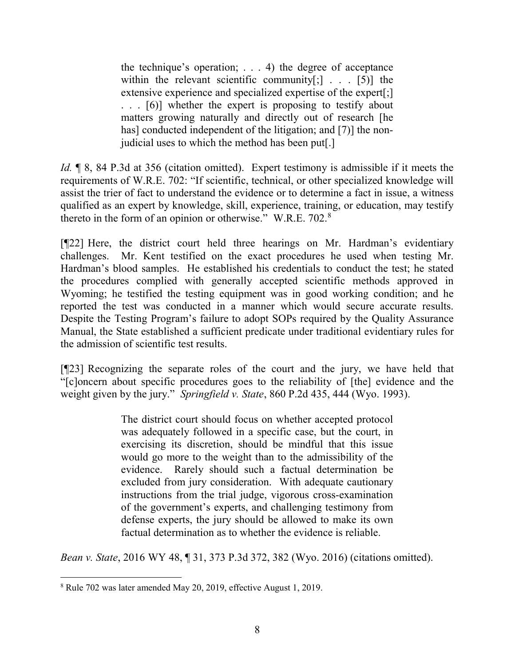the technique's operation;  $\ldots$  4) the degree of acceptance within the relevant scientific community $[:]$ ... [5)] the extensive experience and specialized expertise of the expert[;] . . . [6)] whether the expert is proposing to testify about matters growing naturally and directly out of research [he has] conducted independent of the litigation; and [7)] the nonjudicial uses to which the method has been put[.]

Id. ¶ 8, 84 P.3d at 356 (citation omitted). Expert testimony is admissible if it meets the requirements of W.R.E. 702: "If scientific, technical, or other specialized knowledge will assist the trier of fact to understand the evidence or to determine a fact in issue, a witness qualified as an expert by knowledge, skill, experience, training, or education, may testify thereto in the form of an opinion or otherwise." W.R.E. 702.<sup>8</sup>

[¶22] Here, the district court held three hearings on Mr. Hardman's evidentiary challenges. Mr. Kent testified on the exact procedures he used when testing Mr. Hardman's blood samples. He established his credentials to conduct the test; he stated the procedures complied with generally accepted scientific methods approved in Wyoming; he testified the testing equipment was in good working condition; and he reported the test was conducted in a manner which would secure accurate results. Despite the Testing Program's failure to adopt SOPs required by the Quality Assurance Manual, the State established a sufficient predicate under traditional evidentiary rules for the admission of scientific test results.

[¶23] Recognizing the separate roles of the court and the jury, we have held that "[c]oncern about specific procedures goes to the reliability of [the] evidence and the weight given by the jury." Springfield v. State, 860 P.2d 435, 444 (Wyo. 1993).

> The district court should focus on whether accepted protocol was adequately followed in a specific case, but the court, in exercising its discretion, should be mindful that this issue would go more to the weight than to the admissibility of the evidence. Rarely should such a factual determination be excluded from jury consideration. With adequate cautionary instructions from the trial judge, vigorous cross-examination of the government's experts, and challenging testimony from defense experts, the jury should be allowed to make its own factual determination as to whether the evidence is reliable.

Bean v. State, 2016 WY 48, ¶ 31, 373 P.3d 372, 382 (Wyo. 2016) (citations omitted).

<sup>8</sup> Rule 702 was later amended May 20, 2019, effective August 1, 2019.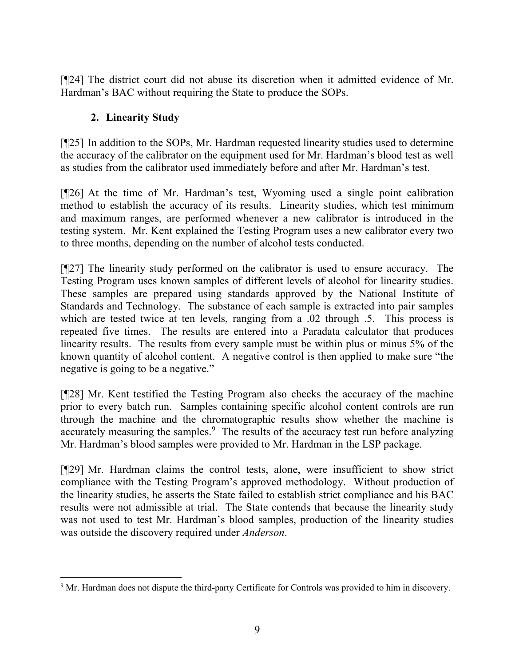[¶24] The district court did not abuse its discretion when it admitted evidence of Mr. Hardman's BAC without requiring the State to produce the SOPs.

# 2. Linearity Study

 $\overline{a}$ 

[¶25] In addition to the SOPs, Mr. Hardman requested linearity studies used to determine the accuracy of the calibrator on the equipment used for Mr. Hardman's blood test as well as studies from the calibrator used immediately before and after Mr. Hardman's test.

[¶26] At the time of Mr. Hardman's test, Wyoming used a single point calibration method to establish the accuracy of its results. Linearity studies, which test minimum and maximum ranges, are performed whenever a new calibrator is introduced in the testing system. Mr. Kent explained the Testing Program uses a new calibrator every two to three months, depending on the number of alcohol tests conducted.

[¶27] The linearity study performed on the calibrator is used to ensure accuracy. The Testing Program uses known samples of different levels of alcohol for linearity studies. These samples are prepared using standards approved by the National Institute of Standards and Technology. The substance of each sample is extracted into pair samples which are tested twice at ten levels, ranging from a .02 through .5. This process is repeated five times. The results are entered into a Paradata calculator that produces linearity results. The results from every sample must be within plus or minus 5% of the known quantity of alcohol content. A negative control is then applied to make sure "the negative is going to be a negative."

[¶28] Mr. Kent testified the Testing Program also checks the accuracy of the machine prior to every batch run. Samples containing specific alcohol content controls are run through the machine and the chromatographic results show whether the machine is accurately measuring the samples.<sup>9</sup> The results of the accuracy test run before analyzing Mr. Hardman's blood samples were provided to Mr. Hardman in the LSP package.

[¶29] Mr. Hardman claims the control tests, alone, were insufficient to show strict compliance with the Testing Program's approved methodology. Without production of the linearity studies, he asserts the State failed to establish strict compliance and his BAC results were not admissible at trial. The State contends that because the linearity study was not used to test Mr. Hardman's blood samples, production of the linearity studies was outside the discovery required under Anderson.

<sup>&</sup>lt;sup>9</sup> Mr. Hardman does not dispute the third-party Certificate for Controls was provided to him in discovery.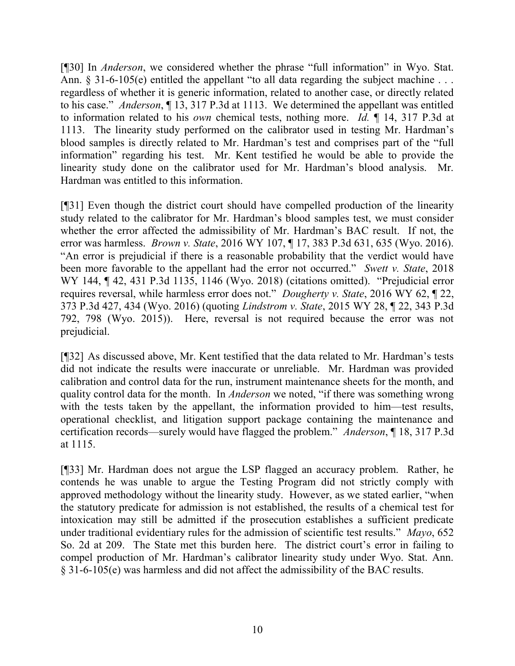[¶30] In Anderson, we considered whether the phrase "full information" in Wyo. Stat. Ann. § 31-6-105(e) entitled the appellant "to all data regarding the subject machine . . . regardless of whether it is generic information, related to another case, or directly related to his case." Anderson, ¶ 13, 317 P.3d at 1113. We determined the appellant was entitled to information related to his own chemical tests, nothing more. Id. ¶ 14, 317 P.3d at 1113. The linearity study performed on the calibrator used in testing Mr. Hardman's blood samples is directly related to Mr. Hardman's test and comprises part of the "full information" regarding his test. Mr. Kent testified he would be able to provide the linearity study done on the calibrator used for Mr. Hardman's blood analysis. Mr. Hardman was entitled to this information.

[¶31] Even though the district court should have compelled production of the linearity study related to the calibrator for Mr. Hardman's blood samples test, we must consider whether the error affected the admissibility of Mr. Hardman's BAC result. If not, the error was harmless. Brown v. State, 2016 WY 107, ¶ 17, 383 P.3d 631, 635 (Wyo. 2016). "An error is prejudicial if there is a reasonable probability that the verdict would have been more favorable to the appellant had the error not occurred." Swett v. State, 2018 WY 144, ¶ 42, 431 P.3d 1135, 1146 (Wyo. 2018) (citations omitted). "Prejudicial error requires reversal, while harmless error does not." Dougherty v. State, 2016 WY 62,  $\sqrt{2}$  22, 373 P.3d 427, 434 (Wyo. 2016) (quoting Lindstrom v. State, 2015 WY 28, ¶ 22, 343 P.3d 792, 798 (Wyo. 2015)). Here, reversal is not required because the error was not prejudicial.

[¶32] As discussed above, Mr. Kent testified that the data related to Mr. Hardman's tests did not indicate the results were inaccurate or unreliable. Mr. Hardman was provided calibration and control data for the run, instrument maintenance sheets for the month, and quality control data for the month. In Anderson we noted, "if there was something wrong with the tests taken by the appellant, the information provided to him—test results, operational checklist, and litigation support package containing the maintenance and certification records—surely would have flagged the problem." Anderson, ¶ 18, 317 P.3d at 1115.

[¶33] Mr. Hardman does not argue the LSP flagged an accuracy problem. Rather, he contends he was unable to argue the Testing Program did not strictly comply with approved methodology without the linearity study. However, as we stated earlier, "when the statutory predicate for admission is not established, the results of a chemical test for intoxication may still be admitted if the prosecution establishes a sufficient predicate under traditional evidentiary rules for the admission of scientific test results." Mayo, 652 So. 2d at 209. The State met this burden here. The district court's error in failing to compel production of Mr. Hardman's calibrator linearity study under Wyo. Stat. Ann. § 31-6-105(e) was harmless and did not affect the admissibility of the BAC results.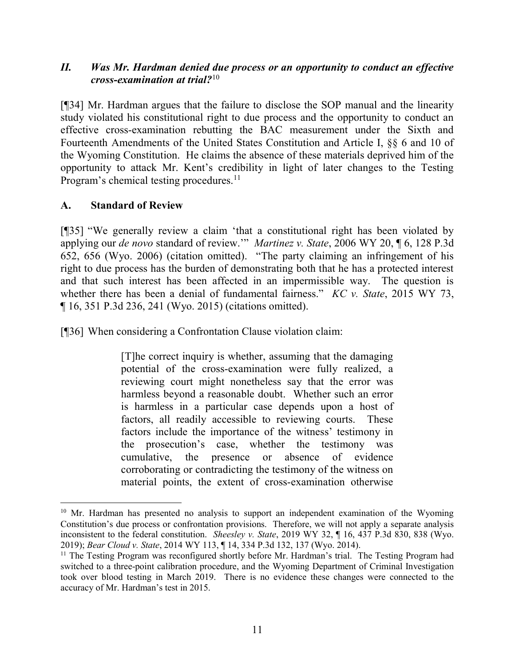### II. Was Mr. Hardman denied due process or an opportunity to conduct an effective cross-examination at trial? $10<sup>10</sup>$

[¶34] Mr. Hardman argues that the failure to disclose the SOP manual and the linearity study violated his constitutional right to due process and the opportunity to conduct an effective cross-examination rebutting the BAC measurement under the Sixth and Fourteenth Amendments of the United States Constitution and Article I, §§ 6 and 10 of the Wyoming Constitution. He claims the absence of these materials deprived him of the opportunity to attack Mr. Kent's credibility in light of later changes to the Testing Program's chemical testing procedures.<sup>11</sup>

### A. Standard of Review

 $\overline{a}$ 

[¶35] "We generally review a claim 'that a constitutional right has been violated by applying our de novo standard of review."" Martinez v. State, 2006 WY 20,  $\P$  6, 128 P.3d 652, 656 (Wyo. 2006) (citation omitted). "The party claiming an infringement of his right to due process has the burden of demonstrating both that he has a protected interest and that such interest has been affected in an impermissible way. The question is whether there has been a denial of fundamental fairness."  $KC$  v. State, 2015 WY 73, ¶ 16, 351 P.3d 236, 241 (Wyo. 2015) (citations omitted).

[¶36] When considering a Confrontation Clause violation claim:

[T]he correct inquiry is whether, assuming that the damaging potential of the cross-examination were fully realized, a reviewing court might nonetheless say that the error was harmless beyond a reasonable doubt. Whether such an error is harmless in a particular case depends upon a host of factors, all readily accessible to reviewing courts. These factors include the importance of the witness' testimony in the prosecution's case, whether the testimony was cumulative, the presence or absence of evidence corroborating or contradicting the testimony of the witness on material points, the extent of cross-examination otherwise

<sup>&</sup>lt;sup>10</sup> Mr. Hardman has presented no analysis to support an independent examination of the Wyoming Constitution's due process or confrontation provisions. Therefore, we will not apply a separate analysis inconsistent to the federal constitution. *Sheesley v. State*, 2019 WY 32,  $\P$  16, 437 P.3d 830, 838 (Wyo. 2019); Bear Cloud v. State, 2014 WY 113, ¶ 14, 334 P.3d 132, 137 (Wyo. 2014).

<sup>&</sup>lt;sup>11</sup> The Testing Program was reconfigured shortly before Mr. Hardman's trial. The Testing Program had switched to a three-point calibration procedure, and the Wyoming Department of Criminal Investigation took over blood testing in March 2019. There is no evidence these changes were connected to the accuracy of Mr. Hardman's test in 2015.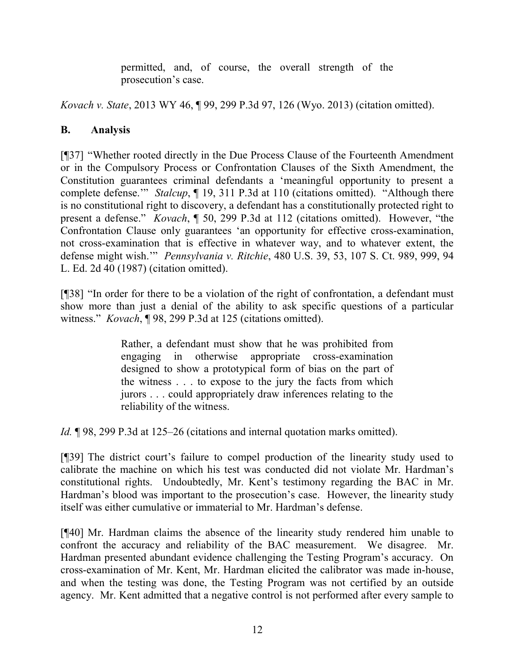permitted, and, of course, the overall strength of the prosecution's case.

Kovach v. State, 2013 WY 46, ¶ 99, 299 P.3d 97, 126 (Wyo. 2013) (citation omitted).

# B. Analysis

[¶37] "Whether rooted directly in the Due Process Clause of the Fourteenth Amendment or in the Compulsory Process or Confrontation Clauses of the Sixth Amendment, the Constitution guarantees criminal defendants a 'meaningful opportunity to present a complete defense." Stalcup, ¶ 19, 311 P.3d at 110 (citations omitted). "Although there is no constitutional right to discovery, a defendant has a constitutionally protected right to present a defense." Kovach, ¶ 50, 299 P.3d at 112 (citations omitted). However, "the Confrontation Clause only guarantees 'an opportunity for effective cross-examination, not cross-examination that is effective in whatever way, and to whatever extent, the defense might wish.'" Pennsylvania v. Ritchie, 480 U.S. 39, 53, 107 S. Ct. 989, 999, 94 L. Ed. 2d 40 (1987) (citation omitted).

[¶38] "In order for there to be a violation of the right of confrontation, a defendant must show more than just a denial of the ability to ask specific questions of a particular witness." *Kovach*, ¶98, 299 P.3d at 125 (citations omitted).

> Rather, a defendant must show that he was prohibited from engaging in otherwise appropriate cross-examination designed to show a prototypical form of bias on the part of the witness . . . to expose to the jury the facts from which jurors . . . could appropriately draw inferences relating to the reliability of the witness.

Id. ¶ 98, 299 P.3d at 125–26 (citations and internal quotation marks omitted).

[¶39] The district court's failure to compel production of the linearity study used to calibrate the machine on which his test was conducted did not violate Mr. Hardman's constitutional rights. Undoubtedly, Mr. Kent's testimony regarding the BAC in Mr. Hardman's blood was important to the prosecution's case. However, the linearity study itself was either cumulative or immaterial to Mr. Hardman's defense.

[¶40] Mr. Hardman claims the absence of the linearity study rendered him unable to confront the accuracy and reliability of the BAC measurement. We disagree. Mr. Hardman presented abundant evidence challenging the Testing Program's accuracy. On cross-examination of Mr. Kent, Mr. Hardman elicited the calibrator was made in-house, and when the testing was done, the Testing Program was not certified by an outside agency. Mr. Kent admitted that a negative control is not performed after every sample to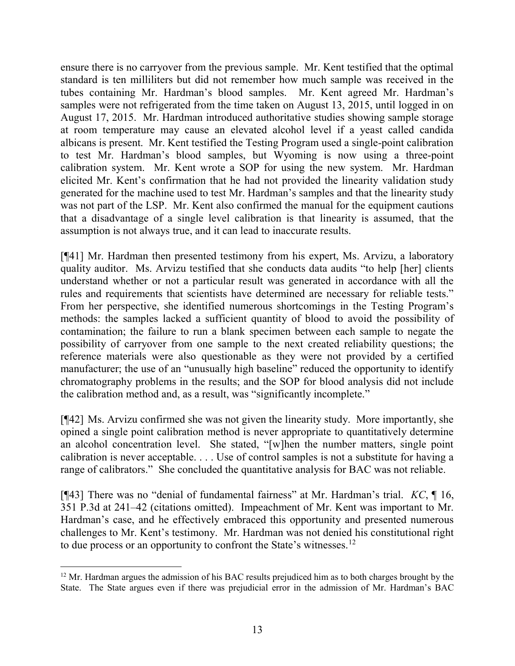ensure there is no carryover from the previous sample. Mr. Kent testified that the optimal standard is ten milliliters but did not remember how much sample was received in the tubes containing Mr. Hardman's blood samples. Mr. Kent agreed Mr. Hardman's samples were not refrigerated from the time taken on August 13, 2015, until logged in on August 17, 2015. Mr. Hardman introduced authoritative studies showing sample storage at room temperature may cause an elevated alcohol level if a yeast called candida albicans is present. Mr. Kent testified the Testing Program used a single-point calibration to test Mr. Hardman's blood samples, but Wyoming is now using a three-point calibration system. Mr. Kent wrote a SOP for using the new system. Mr. Hardman elicited Mr. Kent's confirmation that he had not provided the linearity validation study generated for the machine used to test Mr. Hardman's samples and that the linearity study was not part of the LSP. Mr. Kent also confirmed the manual for the equipment cautions that a disadvantage of a single level calibration is that linearity is assumed, that the assumption is not always true, and it can lead to inaccurate results.

[¶41] Mr. Hardman then presented testimony from his expert, Ms. Arvizu, a laboratory quality auditor. Ms. Arvizu testified that she conducts data audits "to help [her] clients understand whether or not a particular result was generated in accordance with all the rules and requirements that scientists have determined are necessary for reliable tests." From her perspective, she identified numerous shortcomings in the Testing Program's methods: the samples lacked a sufficient quantity of blood to avoid the possibility of contamination; the failure to run a blank specimen between each sample to negate the possibility of carryover from one sample to the next created reliability questions; the reference materials were also questionable as they were not provided by a certified manufacturer; the use of an "unusually high baseline" reduced the opportunity to identify chromatography problems in the results; and the SOP for blood analysis did not include the calibration method and, as a result, was "significantly incomplete."

[¶42] Ms. Arvizu confirmed she was not given the linearity study. More importantly, she opined a single point calibration method is never appropriate to quantitatively determine an alcohol concentration level. She stated, "[w]hen the number matters, single point calibration is never acceptable. . . . Use of control samples is not a substitute for having a range of calibrators." She concluded the quantitative analysis for BAC was not reliable.

[ $[$ 43] There was no "denial of fundamental fairness" at Mr. Hardman's trial. KC,  $[$  16, 351 P.3d at 241–42 (citations omitted). Impeachment of Mr. Kent was important to Mr. Hardman's case, and he effectively embraced this opportunity and presented numerous challenges to Mr. Kent's testimony. Mr. Hardman was not denied his constitutional right to due process or an opportunity to confront the State's witnesses.<sup>12</sup>

<sup>&</sup>lt;sup>12</sup> Mr. Hardman argues the admission of his BAC results prejudiced him as to both charges brought by the State. The State argues even if there was prejudicial error in the admission of Mr. Hardman's BAC